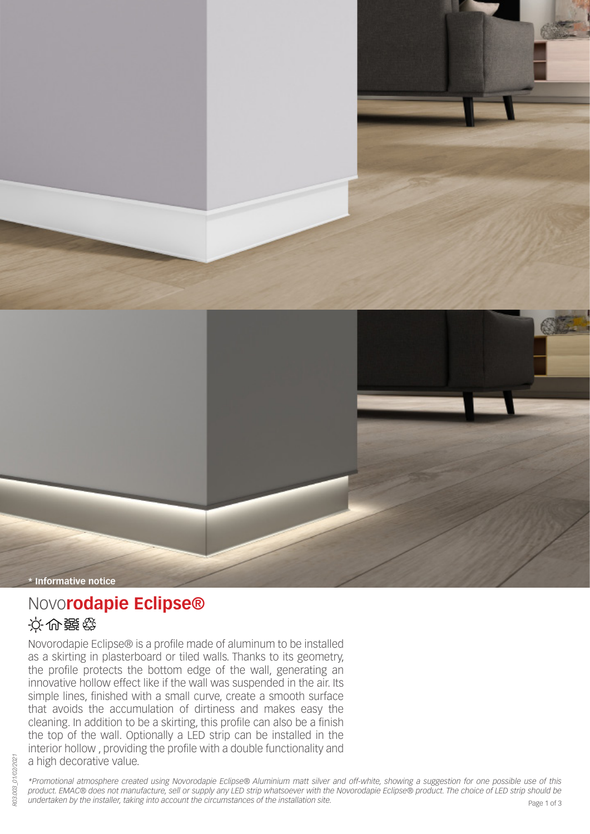



# Novo**rodapie Eclipse®**

## 设备器企业

Novorodapie Eclipse® is a profile made of aluminum to be installed as a skirting in plasterboard or tiled walls. Thanks to its geometry, the profile protects the bottom edge of the wall, generating an innovative hollow effect like if the wall was suspended in the air. Its simple lines, finished with a small curve, create a smooth surface that avoids the accumulation of dirtiness and makes easy the cleaning. In addition to be a skirting, this profile can also be a finish the top of the wall. Optionally a LED strip can be installed in the interior hollow , providing the profile with a double functionality and a high decorative value.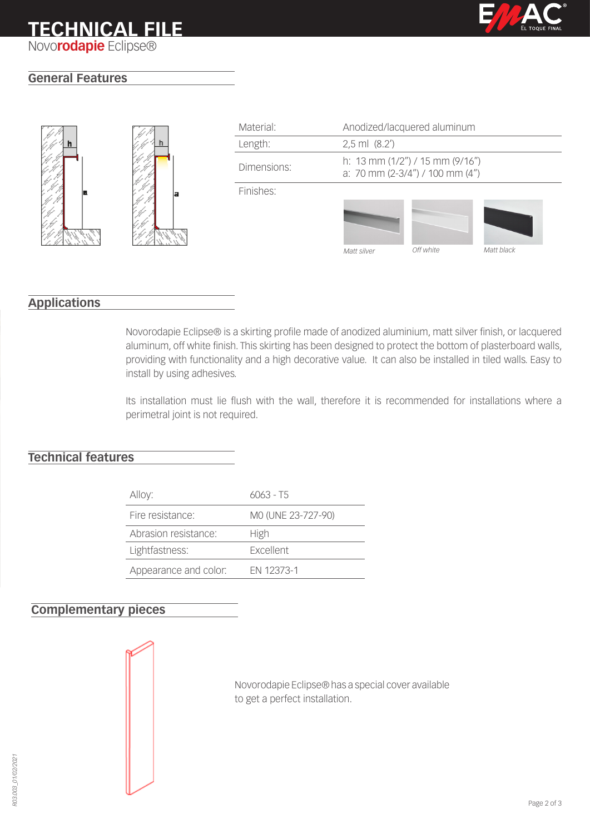

### **General Features**





| Material:   | Anodized/lacquered aluminum                                            |           |            |
|-------------|------------------------------------------------------------------------|-----------|------------|
| Length:     | $2,5$ ml $(8.2')$                                                      |           |            |
| Dimensions: | h: 13 mm $(1/2'')/15$ mm $(9/16'')$<br>a: 70 mm (2-3/4") / 100 mm (4") |           |            |
| Finishes:   |                                                                        |           |            |
|             |                                                                        |           |            |
|             | Matt silver                                                            | Off white | Matt black |

### **Applications**

Novorodapie Eclipse® is a skirting profile made of anodized aluminium, matt silver finish, or lacquered aluminum, off white finish. This skirting has been designed to protect the bottom of plasterboard walls, providing with functionality and a high decorative value. It can also be installed in tiled walls. Easy to install by using adhesives.

Its installation must lie flush with the wall, therefore it is recommended for installations where a perimetral joint is not required.

### **Technical features**

| Alloy:                | $6063 - T5$        |
|-----------------------|--------------------|
| Fire resistance:      | MO (UNE 23-727-90) |
| Abrasion resistance:  | High               |
| Lightfastness:        | <b>Excellent</b>   |
| Appearance and color: | FN 12373-1         |

### **Complementary pieces**

Novorodapie Eclipse® has a special cover available to get a perfect installation.